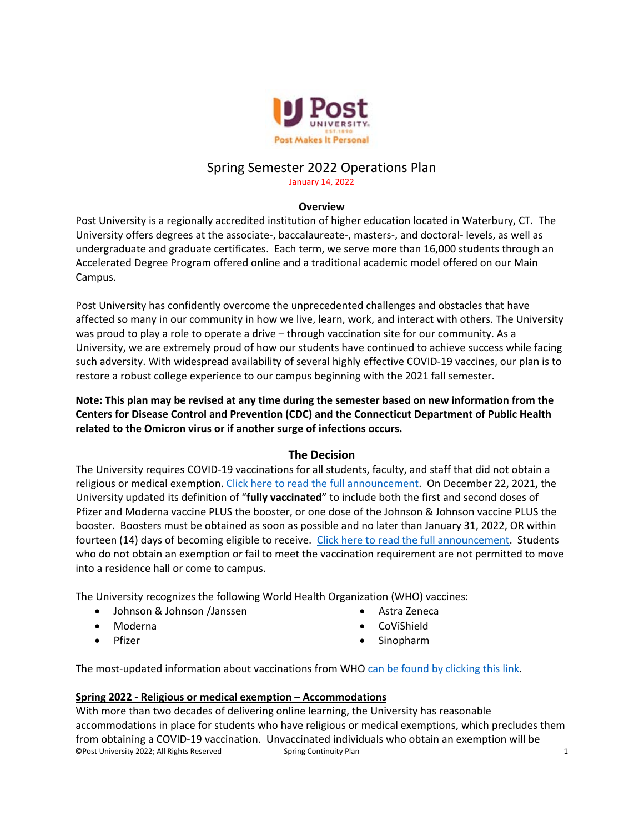

# Spring Semester 2022 Operations Plan

January 14, 2022

## **Overview**

Post University is a regionally accredited institution of higher education located in Waterbury, CT. The University offers degrees at the associate-, baccalaureate-, masters-, and doctoral- levels, as well as undergraduate and graduate certificates. Each term, we serve more than 16,000 students through an Accelerated Degree Program offered online and a traditional academic model offered on our Main Campus.

Post University has confidently overcome the unprecedented challenges and obstacles that have affected so many in our community in how we live, learn, work, and interact with others. The University was proud to play a role to operate a drive – through vaccination site for our community. As a University, we are extremely proud of how our students have continued to achieve success while facing such adversity. With widespread availability of several highly effective COVID-19 vaccines, our plan is to restore a robust college experience to our campus beginning with the 2021 fall semester.

**Note: This plan may be revised at any time during the semester based on new information from the Centers for Disease Control and Prevention (CDC) and the Connecticut Department of Public Health related to the Omicron virus or if another surge of infections occurs.**

# **The Decision**

The University requires COVID-19 vaccinations for all students, faculty, and staff that did not obtain a religious or medical exemption. [Click here to read the full announcement.](https://post.edu/blog/message-to-campus-community-students-families-vaccine-message/) On December 22, 2021, the University updated its definition of "**fully vaccinated**" to include both the first and second doses of Pfizer and Moderna vaccine PLUS the booster, or one dose of the Johnson & Johnson vaccine PLUS the booster. Boosters must be obtained as soon as possible and no later than January 31, 2022, OR within fourteen (14) days of becoming eligible to receive. [Click here to read the full announcement.](https://post.edu/blog/message-from-dean-of-students-january-5-2022/) Students who do not obtain an exemption or fail to meet the vaccination requirement are not permitted to move into a residence hall or come to campus.

The University recognizes the following World Health Organization (WHO) vaccines:

- Johnson & Johnson /Janssen
- Moderna
- Pfizer
- Astra Zeneca
- CoViShield
- Sinopharm

The most-updated information about vaccinations from WHO [can be found by clicking this link.](https://www.who.int/emergencies/diseases/novel-coronavirus-2019/covid-19-vaccines)

## **Spring 2022 - Religious or medical exemption – Accommodations**

©Post University 2022; All Rights Reserved Spring Continuity Plan 1 With more than two decades of delivering online learning, the University has reasonable accommodations in place for students who have religious or medical exemptions, which precludes them from obtaining a COVID-19 vaccination. Unvaccinated individuals who obtain an exemption will be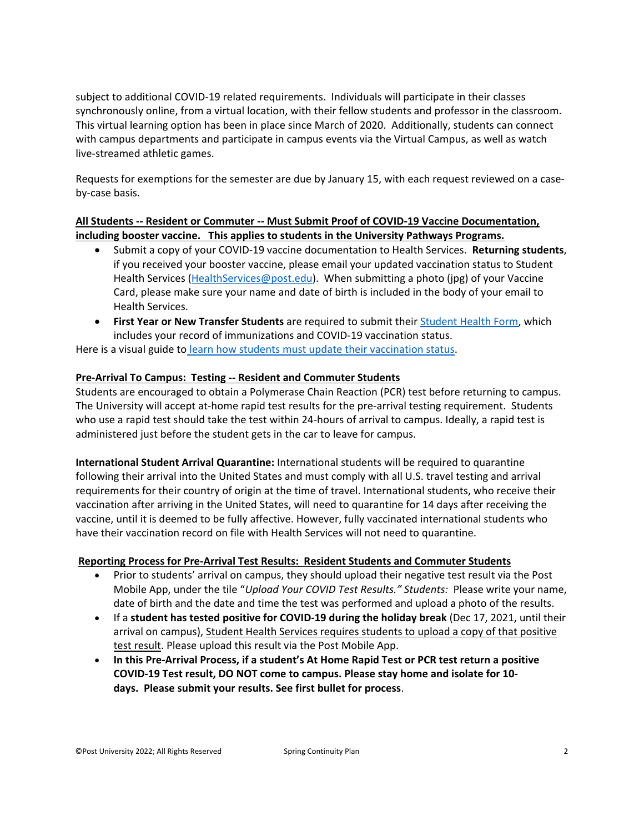subject to additional COVID-19 related requirements. Individuals will participate in their classes synchronously online, from a virtual location, with their fellow students and professor in the classroom. This virtual learning option has been in place since March of 2020. Additionally, students can connect with campus departments and participate in campus events via the Virtual Campus, as well as watch live-streamed athletic games.

Requests for exemptions for the semester are due by January 15, with each request reviewed on a caseby-case basis.

# **All Students -- Resident or Commuter -- Must Submit Proof of COVID-19 Vaccine Documentation, including booster vaccine. This applies to students in the University Pathways Programs.**

- Submit a copy of your COVID-19 vaccine documentation to Health Services. **Returning students**, if you received your booster vaccine, please email your updated vaccination status to Student Health Services [\(HealthServices@post.edu\)](mailto:HealthServices@post.edu). When submitting a photo (jpg) of your Vaccine Card, please make sure your name and date of birth is included in the body of your email to Health Services.
- **First Year or New Transfer Students** are required to submit their [Student Health Form,](https://post.edu/student-services/health-services/health-forms/) which includes your record of immunizations and COVID-19 vaccination status.

Here is a visual guide to [learn how students must update their vaccination status.](https://post.edu/wp-content/uploads/2022/01/COVID-Spring-22-Return-Guide-Jan-8.pdf)

# **Pre-Arrival To Campus: Testing -- Resident and Commuter Students**

Students are encouraged to obtain a Polymerase Chain Reaction (PCR) test before returning to campus. The University will accept at-home rapid test results for the pre-arrival testing requirement. Students who use a rapid test should take the test within 24-hours of arrival to campus. Ideally, a rapid test is administered just before the student gets in the car to leave for campus.

**International Student Arrival Quarantine:** International students will be required to quarantine following their arrival into the United States and must comply with all U.S. travel testing and arrival requirements for their country of origin at the time of travel. International students, who receive their vaccination after arriving in the United States, will need to quarantine for 14 days after receiving the vaccine, until it is deemed to be fully affective. However, fully vaccinated international students who have their vaccination record on file with Health Services will not need to quarantine.

## **Reporting Process for Pre-Arrival Test Results: Resident Students and Commuter Students**

- Prior to students' arrival on campus, they should upload their negative test result via the Post Mobile App, under the tile "*Upload Your COVID Test Results." Students:* Please write your name, date of birth and the date and time the test was performed and upload a photo of the results.
- If a **student has tested positive for COVID-19 during the holiday break** (Dec 17, 2021, until their arrival on campus), Student Health Services requires students to upload a copy of that positive test result. Please upload this result via the Post Mobile App.
- **In this Pre-Arrival Process, if a student's At Home Rapid Test or PCR test return a positive COVID-19 Test result, DO NOT come to campus. Please stay home and isolate for 10 days. Please submit your results. See first bullet for process**.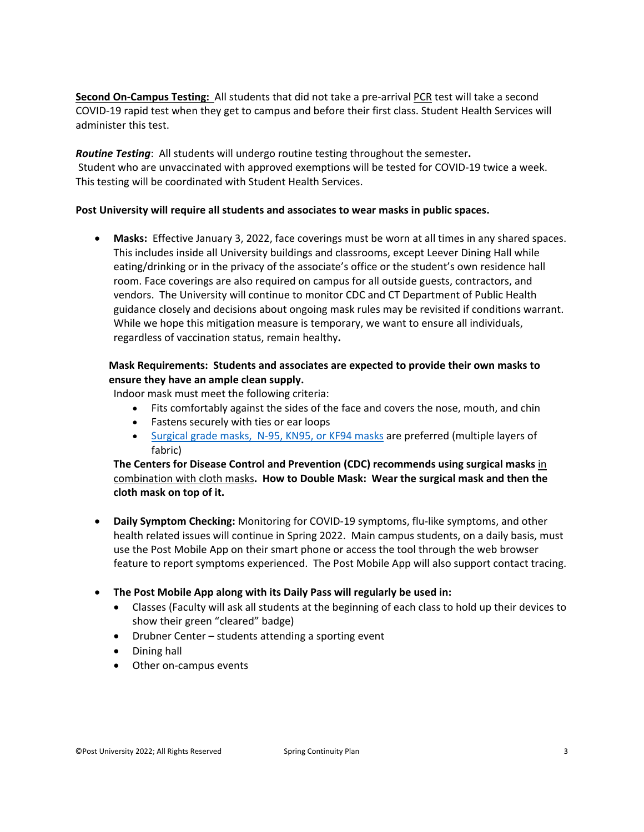**Second On-Campus Testing:** All students that did not take a pre-arrival PCR test will take a second COVID-19 rapid test when they get to campus and before their first class. Student Health Services will administer this test.

*Routine Testing*: All students will undergo routine testing throughout the semester**.**  Student who are unvaccinated with approved exemptions will be tested for COVID-19 twice a week. This testing will be coordinated with Student Health Services.

## **Post University will require all students and associates to wear masks in public spaces.**

• **Masks:** Effective January 3, 2022, face coverings must be worn at all times in any shared spaces. This includes inside all University buildings and classrooms, except Leever Dining Hall while eating/drinking or in the privacy of the associate's office or the student's own residence hall room. Face coverings are also required on campus for all outside guests, contractors, and vendors. The University will continue to monitor CDC and CT Department of Public Health guidance closely and decisions about ongoing mask rules may be revisited if conditions warrant. While we hope this mitigation measure is temporary, we want to ensure all individuals, regardless of vaccination status, remain healthy**.** 

# **Mask Requirements: Students and associates are expected to provide their own masks to ensure they have an ample clean supply.**

Indoor mask must meet the following criteria:

- Fits comfortably against the sides of the face and covers the nose, mouth, and chin
- Fastens securely with ties or ear loops
- [Surgical grade masks, N-95, KN95, or KF94](https://www.fda.gov/medical-devices/personal-protective-equipment-infection-control/n95-respirators-surgical-masks-face-masks-and-barrier-face-coverings) masks are preferred (multiple layers of fabric)

**The Centers for Disease Control and Prevention (CDC) recommends using surgical masks** in combination with cloth masks**. How to Double Mask: Wear the surgical mask and then the cloth mask on top of it.**

- **Daily Symptom Checking:** Monitoring for COVID-19 symptoms, flu-like symptoms, and other health related issues will continue in Spring 2022. Main campus students, on a daily basis, must use the Post Mobile App on their smart phone or access the tool through the web browser feature to report symptoms experienced. The Post Mobile App will also support contact tracing.
- **The Post Mobile App along with its Daily Pass will regularly be used in:**
	- Classes (Faculty will ask all students at the beginning of each class to hold up their devices to show their green "cleared" badge)
	- Drubner Center students attending a sporting event
	- Dining hall
	- Other on-campus events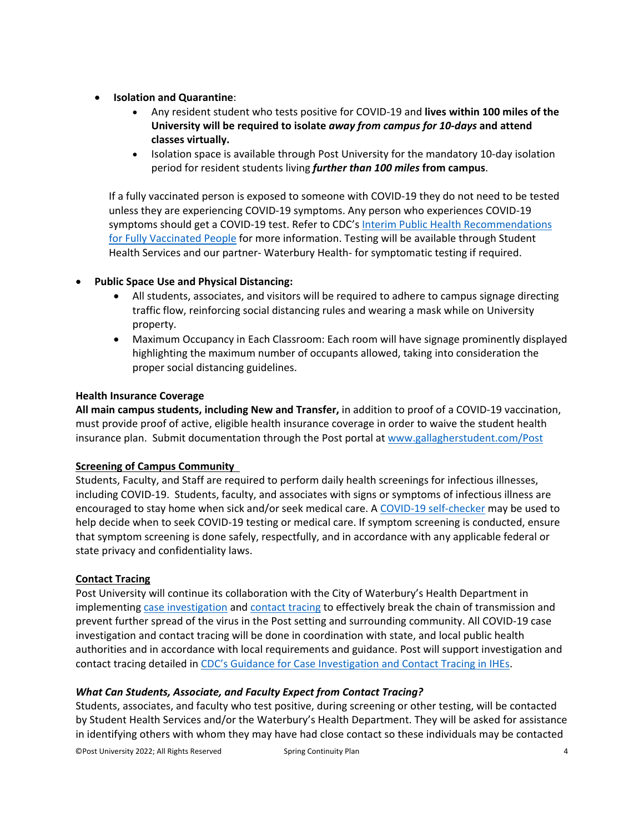- **Isolation and Quarantine**:
	- Any resident student who tests positive for COVID-19 and **lives within 100 miles of the University will be required to isolate** *away from campus for 10-days* **and attend classes virtually.**
	- Isolation space is available through Post University for the mandatory 10-day isolation period for resident students living *further than 100 miles* **from campus**.

If a fully vaccinated person is exposed to someone with COVID-19 they do not need to be tested unless they are experiencing COVID-19 symptoms. Any person who experiences COVID-19 symptoms should get a COVID-19 test. Refer to CDC's Interim Public Health Recommendations [for Fully Vaccinated People](https://www.cdc.gov/coronavirus/2019-ncov/vaccines/fully-vaccinated-guidance.html) for more information. Testing will be available through Student Health Services and our partner- Waterbury Health- for symptomatic testing if required.

# • **Public Space Use and Physical Distancing:**

- All students, associates, and visitors will be required to adhere to campus signage directing traffic flow, reinforcing social distancing rules and wearing a mask while on University property.
- Maximum Occupancy in Each Classroom: Each room will have signage prominently displayed highlighting the maximum number of occupants allowed, taking into consideration the proper social distancing guidelines.

## **Health Insurance Coverage**

**All main campus students, including New and Transfer,** in addition to proof of a COVID-19 vaccination, must provide proof of active, eligible health insurance coverage in order to waive the student health insurance plan. Submit documentation through the Post portal at [www.gallagherstudent.com/Post](http://www.gallagherstudent.com/Post)

## **Screening of Campus Community**

Students, Faculty, and Staff are required to perform daily health screenings for infectious illnesses, including COVID-19. Students, faculty, and associates with signs or symptoms of infectious illness are encouraged to stay home when sick and/or seek medical care. A [COVID-19 self-checker](https://www.cdc.gov/coronavirus/2019-ncov/symptoms-testing/coronavirus-self-checker.html) may be used to help decide when to seek COVID-19 testing or medical care. If symptom screening is conducted, ensure that symptom screening is done safely, respectfully, and in accordance with any applicable federal or state privacy and confidentiality laws.

## **Contact Tracing**

Post University will continue its collaboration with the City of Waterbury's Health Department in implementing [case investigation](https://www.cdc.gov/coronavirus/2019-ncov/downloads/php/COVID-19-Case-Investigation-workflow.pdf) and [contact tracing](https://www.cdc.gov/coronavirus/2019-ncov/downloads/php/COVID-19ContactTracingFlowChart.pdf) to effectively break the chain of transmission and prevent further spread of the virus in the Post setting and surrounding community. All COVID-19 case investigation and contact tracing will be done in coordination with state, and local public health authorities and in accordance with local requirements and guidance. Post will support investigation and contact tracing detailed in [CDC's Guidance for Case Investigation and Contact Tracing in IHEs.](https://www.cdc.gov/coronavirus/2019-ncov/community/schools-childcare/contact-tracing.html?CDC_AA_refVal=https%3A%2F%2Fwww.cdc.gov%2Fcoronavirus%2F2019-ncov%2Fcommunity%2Fcolleges-universities%2Fcontact-tracing.html)

## *What Can Students, Associate, and Faculty Expect from Contact Tracing?*

Students, associates, and faculty who test positive, during screening or other testing, will be contacted by Student Health Services and/or the Waterbury's Health Department. They will be asked for assistance in identifying others with whom they may have had close contact so these individuals may be contacted

©Post University 2022; All Rights Reserved Spring Continuity Plan 4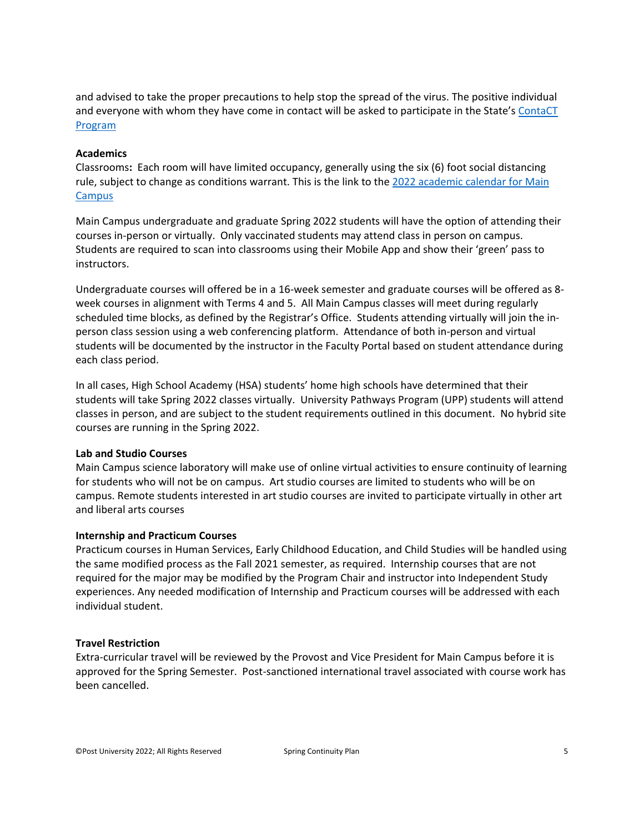and advised to take the proper precautions to help stop the spread of the virus. The positive individual and everyone with whom they have come in contact will be asked to participate in the State's [ContaCT](https://portal.ct.gov/Coronavirus/ContaCT)  [Program](https://portal.ct.gov/Coronavirus/ContaCT)

## **Academics**

Classrooms**:** Each room will have limited occupancy, generally using the six (6) foot social distancing rule, subject to change as conditions warrant. This is the link to the 2022 academic calendar for Main Campus

Main Campus undergraduate and graduate Spring 2022 students will have the option of attending their courses in-person or virtually. Only vaccinated students may attend class in person on campus. Students are required to scan into classrooms using their Mobile App and show their 'green' pass to instructors.

Undergraduate courses will offered be in a 16-week semester and graduate courses will be offered as 8 week courses in alignment with Terms 4 and 5. All Main Campus classes will meet during regularly scheduled time blocks, as defined by the Registrar's Office. Students attending virtually will join the inperson class session using a web conferencing platform. Attendance of both in-person and virtual students will be documented by the instructor in the Faculty Portal based on student attendance during each class period.

In all cases, High School Academy (HSA) students' home high schools have determined that their students will take Spring 2022 classes virtually. University Pathways Program (UPP) students will attend classes in person, and are subject to the student requirements outlined in this document. No hybrid site courses are running in the Spring 2022.

#### **Lab and Studio Courses**

Main Campus science laboratory will make use of online virtual activities to ensure continuity of learning for students who will not be on campus. Art studio courses are limited to students who will be on campus. Remote students interested in art studio courses are invited to participate virtually in other art and liberal arts courses

#### **Internship and Practicum Courses**

Practicum courses in Human Services, Early Childhood Education, and Child Studies will be handled using the same modified process as the Fall 2021 semester, as required. Internship courses that are not required for the major may be modified by the Program Chair and instructor into Independent Study experiences. Any needed modification of Internship and Practicum courses will be addressed with each individual student.

#### **Travel Restriction**

Extra-curricular travel will be reviewed by the Provost and Vice President for Main Campus before it is approved for the Spring Semester. Post-sanctioned international travel associated with course work has been cancelled.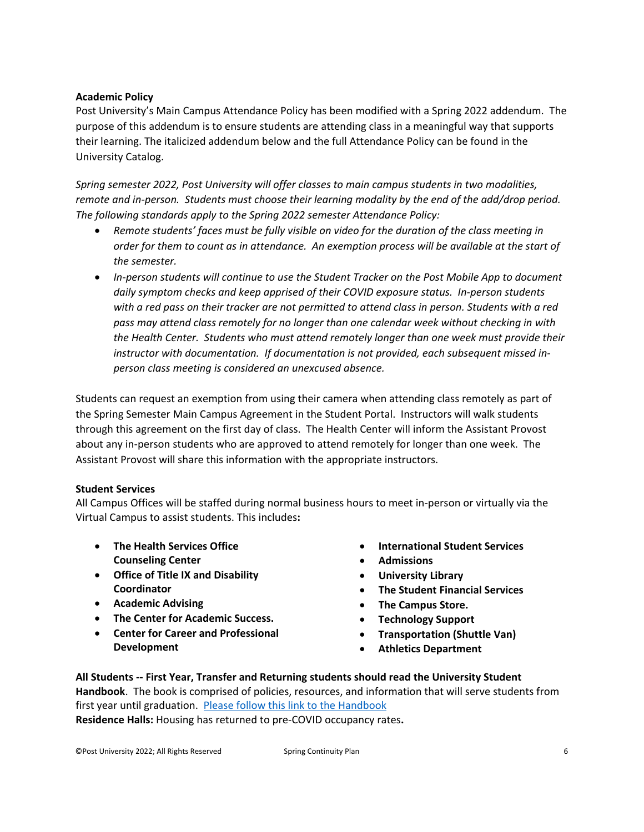## **Academic Policy**

Post University's Main Campus Attendance Policy has been modified with a Spring 2022 addendum. The purpose of this addendum is to ensure students are attending class in a meaningful way that supports their learning. The italicized addendum below and the full Attendance Policy can be found in the University Catalog.

*Spring semester 2022, Post University will offer classes to main campus students in two modalities, remote and in-person. Students must choose their learning modality by the end of the add/drop period. The following standards apply to the Spring 2022 semester Attendance Policy:*

- *Remote students' faces must be fully visible on video for the duration of the class meeting in order for them to count as in attendance. An exemption process will be available at the start of the semester.*
- *In-person students will continue to use the Student Tracker on the Post Mobile App to document daily symptom checks and keep apprised of their COVID exposure status. In-person students with a red pass on their tracker are not permitted to attend class in person. Students with a red pass may attend class remotely for no longer than one calendar week without checking in with the Health Center. Students who must attend remotely longer than one week must provide their instructor with documentation. If documentation is not provided, each subsequent missed inperson class meeting is considered an unexcused absence.*

Students can request an exemption from using their camera when attending class remotely as part of the Spring Semester Main Campus Agreement in the Student Portal. Instructors will walk students through this agreement on the first day of class. The Health Center will inform the Assistant Provost about any in-person students who are approved to attend remotely for longer than one week. The Assistant Provost will share this information with the appropriate instructors.

## **Student Services**

All Campus Offices will be staffed during normal business hours to meet in-person or virtually via the Virtual Campus to assist students. This includes**:**

- **The Health Services Office Counseling Center**
- **Office of Title IX and Disability Coordinator**
- **Academic Advising**
- **The Center for Academic Success.**
- **Center for Career and Professional Development**
- **International Student Services**
- **Admissions**
- **University Library**
- **The Student Financial Services**
- **The Campus Store.**
- **Technology Support**
- **Transportation (Shuttle Van)**
- **Athletics Department**

**All Students -- First Year, Transfer and Returning students should read the University Student Handbook**. The book is comprised of policies, resources, and information that will serve students from first year until graduation. [Please follow this link to the Handbook](https://post.edu/student-services/student-affairs/student-handbook/) **Residence Halls:** Housing has returned to pre-COVID occupancy rates**.**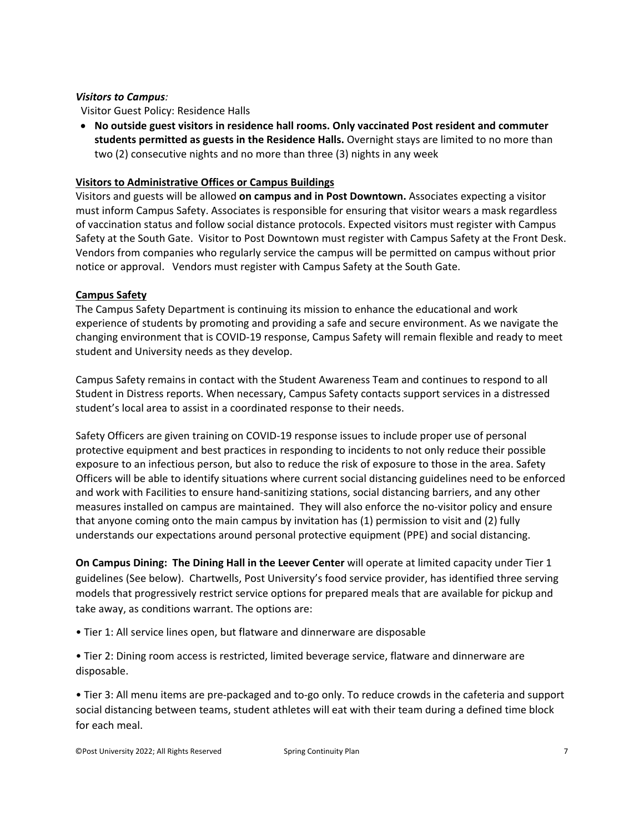## *Visitors to Campus:*

Visitor Guest Policy: Residence Halls

• **No outside guest visitors in residence hall rooms. Only vaccinated Post resident and commuter students permitted as guests in the Residence Halls.** Overnight stays are limited to no more than two (2) consecutive nights and no more than three (3) nights in any week

## **Visitors to Administrative Offices or Campus Buildings**

Visitors and guests will be allowed **on campus and in Post Downtown.** Associates expecting a visitor must inform Campus Safety. Associates is responsible for ensuring that visitor wears a mask regardless of vaccination status and follow social distance protocols. Expected visitors must register with Campus Safety at the South Gate. Visitor to Post Downtown must register with Campus Safety at the Front Desk. Vendors from companies who regularly service the campus will be permitted on campus without prior notice or approval. Vendors must register with Campus Safety at the South Gate.

## **Campus Safety**

The Campus Safety Department is continuing its mission to enhance the educational and work experience of students by promoting and providing a safe and secure environment. As we navigate the changing environment that is COVID-19 response, Campus Safety will remain flexible and ready to meet student and University needs as they develop.

Campus Safety remains in contact with the Student Awareness Team and continues to respond to all Student in Distress reports. When necessary, Campus Safety contacts support services in a distressed student's local area to assist in a coordinated response to their needs.

Safety Officers are given training on COVID-19 response issues to include proper use of personal protective equipment and best practices in responding to incidents to not only reduce their possible exposure to an infectious person, but also to reduce the risk of exposure to those in the area. Safety Officers will be able to identify situations where current social distancing guidelines need to be enforced and work with Facilities to ensure hand-sanitizing stations, social distancing barriers, and any other measures installed on campus are maintained. They will also enforce the no-visitor policy and ensure that anyone coming onto the main campus by invitation has (1) permission to visit and (2) fully understands our expectations around personal protective equipment (PPE) and social distancing.

**On Campus Dining: The Dining Hall in the Leever Center** will operate at limited capacity under Tier 1 guidelines (See below). Chartwells, Post University's food service provider, has identified three serving models that progressively restrict service options for prepared meals that are available for pickup and take away, as conditions warrant. The options are:

- Tier 1: All service lines open, but flatware and dinnerware are disposable
- Tier 2: Dining room access is restricted, limited beverage service, flatware and dinnerware are disposable.

• Tier 3: All menu items are pre-packaged and to-go only. To reduce crowds in the cafeteria and support social distancing between teams, student athletes will eat with their team during a defined time block for each meal.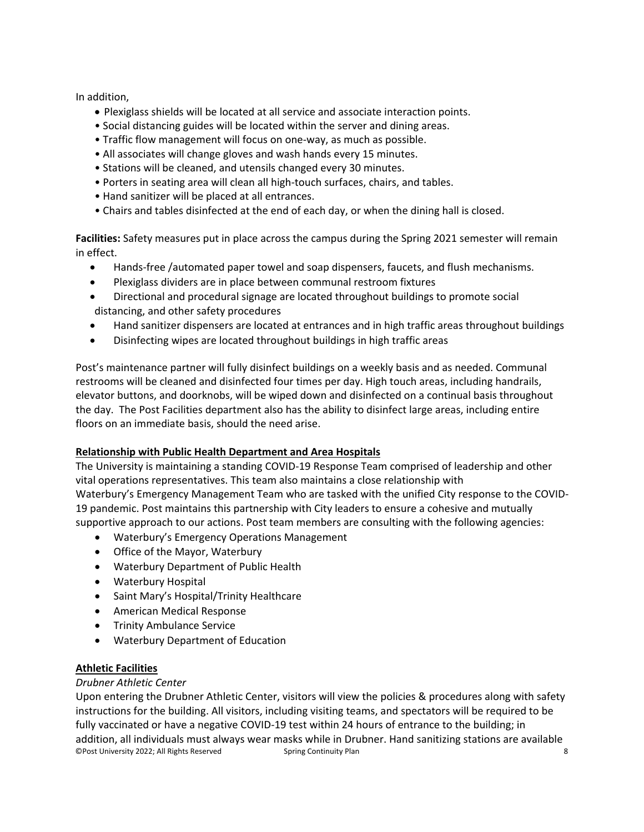In addition,

- Plexiglass shields will be located at all service and associate interaction points.
- Social distancing guides will be located within the server and dining areas.
- Traffic flow management will focus on one-way, as much as possible.
- All associates will change gloves and wash hands every 15 minutes.
- Stations will be cleaned, and utensils changed every 30 minutes.
- Porters in seating area will clean all high-touch surfaces, chairs, and tables.
- Hand sanitizer will be placed at all entrances.
- Chairs and tables disinfected at the end of each day, or when the dining hall is closed.

**Facilities:** Safety measures put in place across the campus during the Spring 2021 semester will remain in effect.

- Hands-free /automated paper towel and soap dispensers, faucets, and flush mechanisms.
- Plexiglass dividers are in place between communal restroom fixtures
- Directional and procedural signage are located throughout buildings to promote social distancing, and other safety procedures
- Hand sanitizer dispensers are located at entrances and in high traffic areas throughout buildings
- Disinfecting wipes are located throughout buildings in high traffic areas

Post's maintenance partner will fully disinfect buildings on a weekly basis and as needed. Communal restrooms will be cleaned and disinfected four times per day. High touch areas, including handrails, elevator buttons, and doorknobs, will be wiped down and disinfected on a continual basis throughout the day. The Post Facilities department also has the ability to disinfect large areas, including entire floors on an immediate basis, should the need arise.

## **Relationship with Public Health Department and Area Hospitals**

The University is maintaining a standing COVID-19 Response Team comprised of leadership and other vital operations representatives. This team also maintains a close relationship with Waterbury's Emergency Management Team who are tasked with the unified City response to the COVID-19 pandemic. Post maintains this partnership with City leaders to ensure a cohesive and mutually supportive approach to our actions. Post team members are consulting with the following agencies:

- Waterbury's Emergency Operations Management
- Office of the Mayor, Waterbury
- Waterbury Department of Public Health
- Waterbury Hospital
- Saint Mary's Hospital/Trinity Healthcare
- American Medical Response
- Trinity Ambulance Service
- Waterbury Department of Education

## **Athletic Facilities**

## *Drubner Athletic Center*

©Post University 2022; All Rights Reserved Spring Continuity Plan 8 Upon entering the Drubner Athletic Center, visitors will view the policies & procedures along with safety instructions for the building. All visitors, including visiting teams, and spectators will be required to be fully vaccinated or have a negative COVID-19 test within 24 hours of entrance to the building; in addition, all individuals must always wear masks while in Drubner. Hand sanitizing stations are available